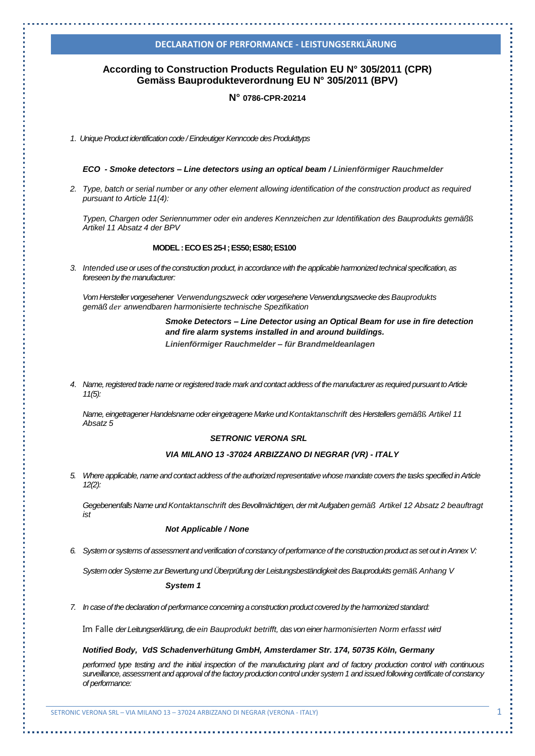## **According to Construction Products Regulation EU N° 305/2011 (CPR) Gemäss Bauprodukteverordnung EU N° 305/2011 (BPV)**

## **N° 0786-CPR-20214**

*1. Unique Product identification code / Eindeutiger Kenncode des Produkttyps*

*ECO - Smoke detectors – Line detectors using an optical beam / Linienförmiger Rauchmelder*

*2. Type, batch or serial number or any other element allowing identification of the construction product as required pursuant to Article 11(4):*

*Typen, Chargen oder Seriennummer oder ein anderes Kennzeichen zur Identifikation des Bauprodukts gemäß*ß *Artikel 11 Absatz 4 der BPV*

#### **MODEL : ECO ES 25-I ; ES50; ES80; ES100**

*3. Intended use or uses of the construction product, in accordance with the applicable harmonized technical specification, as foreseen by the manufacturer:*

*Vom Hersteller vorgesehener Verwendungszweck oder vorgesehene Verwendungszwecke desBauprodukts gemäß anwendbaren harmonisierte technische Spezifikation*

> *Smoke Detectors – Line Detector using an Optical Beam for use in fire detection and fire alarm systems installed in and around buildings. Linienförmiger Rauchmelder – für Brandmeldeanlagen*

*4. Name, registered trade name or registered trade mark and contact address of the manufacturer as required pursuant to Article 11(5):*

*Name, eingetragener Handelsname oder eingetragene Marke und Kontaktanschrift des Herstellers gemäß*ß *Artikel 11 Absatz 5* 

### *SETRONIC VERONA SRL*

### *VIA MILANO 13 -37024 ARBIZZANO DI NEGRAR (VR) - ITALY*

*5. Where applicable, name and contact address of the authorized representative whose mandate covers the tasks specified in Article 12(2):*

*Gegebenenfalls Name und Kontaktanschrift des Bevollmächtigen, der mit Aufgaben gemäß Artikel 12 Absatz 2 beauftragt ist*

#### *Not Applicable / None*

*6. System or systems of assessment and verification of constancy of performance of the construction product as set out in Annex V:*

*System oder Systeme zur Bewertung und Überprüfung der Leistungsbeständigkeit des Bauprodukts gemä*ß *Anhang V*

## *System 1*

*7. In case of the declaration of performance concerning a construction product covered by the harmonized standard:*

Im Falle *der Leitungserklärung, die ein Bauprodukt betrifft, das von einer harmonisierten Norm erfasst wird*

#### *Notified Body, VdS Schadenverhütung GmbH, Amsterdamer Str. 174, 50735 Köln, Germany*

*performed type testing and the initial inspection of the manufacturing plant and of factory production control with continuous surveillance, assessment and approval of the factory production control under system 1 and issued following certificate of constancy of performance:*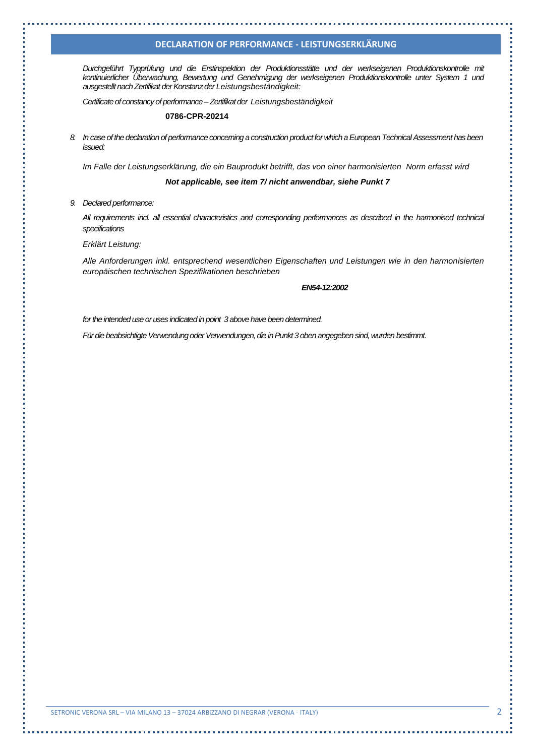*Durchgeführt Typprüfung und die Erstinspektion der Produktionsstätte und der werkseigenen Produktionskontrolle mit kontinuierlicher Überwachung, Bewertung und Genehmigung der werkseigenen Produktionskontrolle unter System 1 und ausgestellt nach Zertifikat der Konstanz der Leistungsbeständigkeit:*

*Certificate of constancy of performance –Zertifikat der Leistungsbeständigkeit* 

## **0786-CPR-20214**

*8. In case of the declaration of performance concerning a construction product for which a European Technical Assessment has been issued:*

*Im Falle der Leistungserklärung, die ein Bauprodukt betrifft, das von einer harmonisierten Norm erfasst wird*

*Not applicable, see item 7/ nicht anwendbar, siehe Punkt 7*

#### *9. Declared performance:*

*All requirements incl. all essential characteristics and corresponding performances as described in the harmonised technical specifications* 

*Erklärt Leistung:*

*Alle Anforderungen inkl. entsprechend wesentlichen Eigenschaften und Leistungen wie in den harmonisierten europäischen technischen Spezifikationen beschrieben*

#### *EN54-12:2002*

*for the intended use or uses indicated in point 3 above have been determined.* 

*Für die beabsichtigte Verwendung oder Verwendungen, die in Punkt 3 oben angegeben sind, wurden bestimmt.*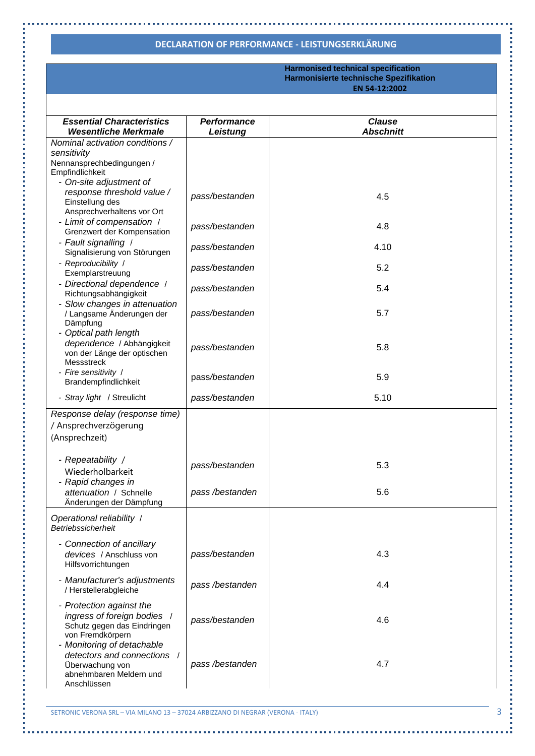## **Harmonised technical specification Harmonisierte technische Spezifikation EN 54-12:2002**

| <b>Essential Characteristics</b>                        | <b>Performance</b> | <b>Clause</b>    |
|---------------------------------------------------------|--------------------|------------------|
| <b>Wesentliche Merkmale</b>                             | Leistung           | <b>Abschnitt</b> |
| Nominal activation conditions /                         |                    |                  |
| sensitivity<br>Nennansprechbedingungen /                |                    |                  |
| Empfindlichkeit                                         |                    |                  |
| - On-site adjustment of                                 |                    |                  |
| response threshold value /<br>Einstellung des           | pass/bestanden     | 4.5              |
| Ansprechverhaltens vor Ort                              |                    |                  |
| - Limit of compensation /                               | pass/bestanden     | 4.8              |
| Grenzwert der Kompensation                              |                    |                  |
| - Fault signalling /<br>Signalisierung von Störungen    | pass/bestanden     | 4.10             |
| - Reproducibility /                                     |                    |                  |
| Exemplarstreuung                                        | pass/bestanden     | 5.2              |
| - Directional dependence /                              | pass/bestanden     | 5.4              |
| Richtungsabhängigkeit<br>- Slow changes in attenuation  |                    |                  |
| / Langsame Änderungen der                               | pass/bestanden     | 5.7              |
| Dämpfung                                                |                    |                  |
| - Optical path length<br>dependence / Abhängigkeit      |                    |                  |
| von der Länge der optischen                             | pass/bestanden     | 5.8              |
| <b>Messstreck</b>                                       |                    |                  |
| - Fire sensitivity /<br>Brandempfindlichkeit            | pass/bestanden     | 5.9              |
|                                                         |                    |                  |
| - Stray light / Streulicht                              | pass/bestanden     | 5.10             |
| Response delay (response time)                          |                    |                  |
| / Ansprechverzögerung                                   |                    |                  |
| (Ansprechzeit)                                          |                    |                  |
| - Repeatability /                                       |                    |                  |
| Wiederholbarkeit                                        | pass/bestanden     | 5.3              |
| - Rapid changes in                                      |                    |                  |
| attenuation / Schnelle                                  | pass /bestanden    | 5.6              |
| Änderungen der Dämpfung                                 |                    |                  |
| Operational reliability /                               |                    |                  |
| <b>Betriebssicherheit</b>                               |                    |                  |
| - Connection of ancillary                               |                    |                  |
| devices / Anschluss von<br>Hilfsvorrichtungen           | pass/bestanden     | 4.3              |
|                                                         |                    |                  |
| - Manufacturer's adjustments<br>/ Herstellerabgleiche   | pass /bestanden    | 4.4              |
|                                                         |                    |                  |
| - Protection against the<br>ingress of foreign bodies / |                    |                  |
| Schutz gegen das Eindringen                             | pass/bestanden     | 4.6              |
| von Fremdkörpern                                        |                    |                  |
| - Monitoring of detachable                              |                    |                  |
| detectors and connections /<br>Überwachung von          | pass /bestanden    | 4.7              |
| abnehmbaren Meldern und                                 |                    |                  |
| Anschlüssen                                             |                    |                  |

SETRONIC VERONA SRL – VIA MILANO 13 – 37024 ARBIZZANO DI NEGRAR (VERONA - ITALY) 3

÷.

İ

,,,,,,,,,,,,,,,,,,,,,,,,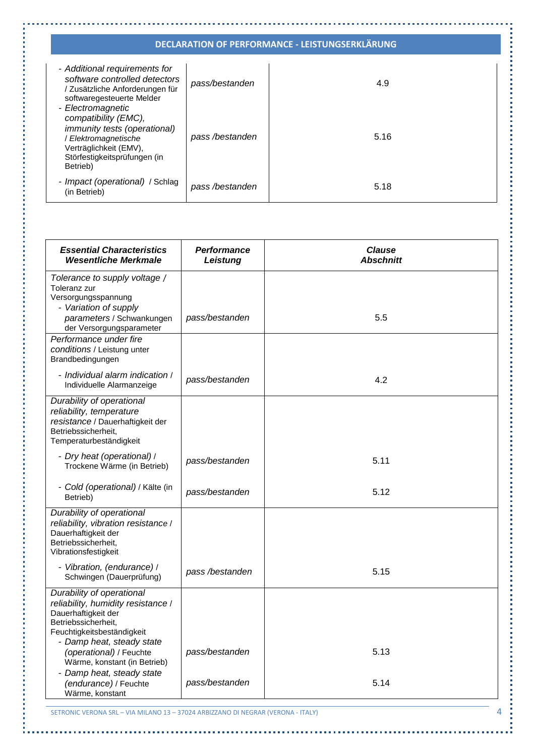. . . . . . . . . . .

| - Additional requirements for<br>software controlled detectors<br>Zusätzliche Anforderungen für<br>softwaregesteuerte Melder<br>- Electromagnetic       | pass/bestanden  | 4.9  |
|---------------------------------------------------------------------------------------------------------------------------------------------------------|-----------------|------|
| compatibility (EMC),<br><i>immunity tests (operational)</i><br>Elektromagnetische<br>Verträglichkeit (EMV),<br>Störfestigkeitsprüfungen (in<br>Betrieb) | pass /bestanden | 5.16 |
| - Impact (operational) / Schlag<br>(in Betrieb)                                                                                                         | pass /bestanden | 5.18 |

| <b>Essential Characteristics</b><br><b>Wesentliche Merkmale</b>                                                                             | <b>Performance</b><br>Leistung | <b>Clause</b><br><b>Abschnitt</b> |
|---------------------------------------------------------------------------------------------------------------------------------------------|--------------------------------|-----------------------------------|
| Tolerance to supply voltage /<br>Toleranz zur<br>Versorgungsspannung<br>- Variation of supply                                               |                                |                                   |
| parameters / Schwankungen<br>der Versorgungsparameter                                                                                       | pass/bestanden                 | 5.5                               |
| Performance under fire<br>conditions / Leistung unter<br>Brandbedingungen                                                                   |                                |                                   |
| - Individual alarm indication /<br>Individuelle Alarmanzeige                                                                                | pass/bestanden                 | 4.2                               |
| Durability of operational<br>reliability, temperature<br>resistance / Dauerhaftigkeit der<br>Betriebssicherheit,<br>Temperaturbeständigkeit |                                |                                   |
| - Dry heat (operational) /<br>Trockene Wärme (in Betrieb)                                                                                   | pass/bestanden                 | 5.11                              |
| - Cold (operational) / Kälte (in<br>Betrieb)                                                                                                | pass/bestanden                 | 5.12                              |
| Durability of operational<br>reliability, vibration resistance /<br>Dauerhaftigkeit der<br>Betriebssicherheit.<br>Vibrationsfestigkeit      |                                |                                   |
| - Vibration, (endurance) /<br>Schwingen (Dauerprüfung)                                                                                      | pass/bestanden                 | 5.15                              |
| Durability of operational<br>reliability, humidity resistance /<br>Dauerhaftigkeit der<br>Betriebssicherheit,<br>Feuchtigkeitsbeständigkeit |                                |                                   |
| - Damp heat, steady state<br>(operational) / Feuchte<br>Wärme, konstant (in Betrieb)                                                        | pass/bestanden                 | 5.13                              |
| - Damp heat, steady state<br>(endurance) / Feuchte<br>Wärme, konstant                                                                       | pass/bestanden                 | 5.14                              |

. . . . . . . . . . . . .

SETRONIC VERONA SRL – VIA MILANO 13 – 37024 ARBIZZANO DI NEGRAR (VERONA - ITALY) 4

÷.

 $\frac{1}{2}$ 

i i i i i i i